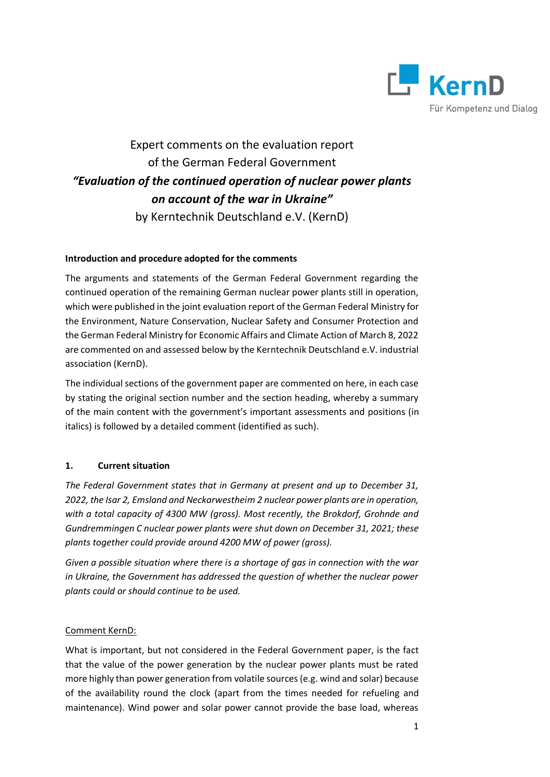

# Expert comments on the evaluation report of the German Federal Government *"Evaluation of the continued operation of nuclear power plants on account of the war in Ukraine"* by Kerntechnik Deutschland e.V. (KernD)

## **Introduction and procedure adopted for the comments**

The arguments and statements of the German Federal Government regarding the continued operation of the remaining German nuclear power plants still in operation, which were published in the joint evaluation report of the German Federal Ministry for the Environment, Nature Conservation, Nuclear Safety and Consumer Protection and the German Federal Ministry for Economic Affairs and Climate Action of March 8, 2022 are commented on and assessed below by the Kerntechnik Deutschland e.V. industrial association (KernD).

The individual sections of the government paper are commented on here, in each case by stating the original section number and the section heading, whereby a summary of the main content with the government's important assessments and positions (in italics) is followed by a detailed comment (identified as such).

## **1. Current situation**

*The Federal Government states that in Germany at present and up to December 31, 2022, the Isar 2, Emsland and Neckarwestheim 2 nuclear power plants are in operation, with a total capacity of 4300 MW (gross). Most recently, the Brokdorf, Grohnde and Gundremmingen C nuclear power plants were shut down on December 31, 2021; these plants together could provide around 4200 MW of power (gross).*

*Given a possible situation where there is a shortage of gas in connection with the war in Ukraine, the Government has addressed the question of whether the nuclear power plants could or should continue to be used.*

## Comment KernD:

What is important, but not considered in the Federal Government paper, is the fact that the value of the power generation by the nuclear power plants must be rated more highly than power generation from volatile sources (e.g. wind and solar) because of the availability round the clock (apart from the times needed for refueling and maintenance). Wind power and solar power cannot provide the base load, whereas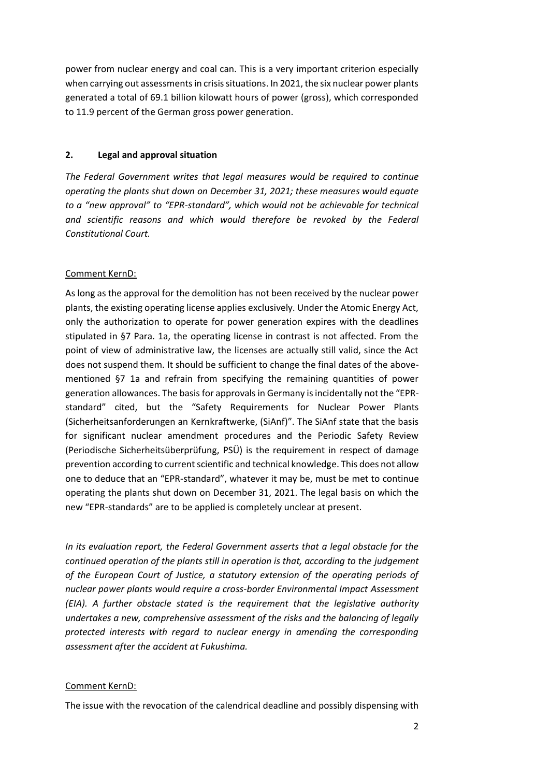power from nuclear energy and coal can. This is a very important criterion especially when carrying out assessments in crisis situations. In 2021, the six nuclear power plants generated a total of 69.1 billion kilowatt hours of power (gross), which corresponded to 11.9 percent of the German gross power generation.

#### **2. Legal and approval situation**

*The Federal Government writes that legal measures would be required to continue operating the plants shut down on December 31, 2021; these measures would equate to a "new approval" to "EPR-standard", which would not be achievable for technical and scientific reasons and which would therefore be revoked by the Federal Constitutional Court.*

#### Comment KernD:

As long as the approval for the demolition has not been received by the nuclear power plants, the existing operating license applies exclusively. Under the Atomic Energy Act, only the authorization to operate for power generation expires with the deadlines stipulated in §7 Para. 1a, the operating license in contrast is not affected. From the point of view of administrative law, the licenses are actually still valid, since the Act does not suspend them. It should be sufficient to change the final dates of the abovementioned §7 1a and refrain from specifying the remaining quantities of power generation allowances. The basis for approvals in Germany is incidentally not the "EPRstandard" cited, but the "Safety Requirements for Nuclear Power Plants (Sicherheitsanforderungen an Kernkraftwerke, (SiAnf)". The SiAnf state that the basis for significant nuclear amendment procedures and the Periodic Safety Review (Periodische Sicherheitsüberprüfung, PSÜ) is the requirement in respect of damage prevention according to current scientific and technical knowledge. This does not allow one to deduce that an "EPR-standard", whatever it may be, must be met to continue operating the plants shut down on December 31, 2021. The legal basis on which the new "EPR-standards" are to be applied is completely unclear at present.

*In its evaluation report, the Federal Government asserts that a legal obstacle for the continued operation of the plants still in operation is that, according to the judgement of the European Court of Justice, a statutory extension of the operating periods of nuclear power plants would require a cross-border Environmental Impact Assessment (EIA). A further obstacle stated is the requirement that the legislative authority undertakes a new, comprehensive assessment of the risks and the balancing of legally protected interests with regard to nuclear energy in amending the corresponding assessment after the accident at Fukushima.*

#### Comment KernD:

The issue with the revocation of the calendrical deadline and possibly dispensing with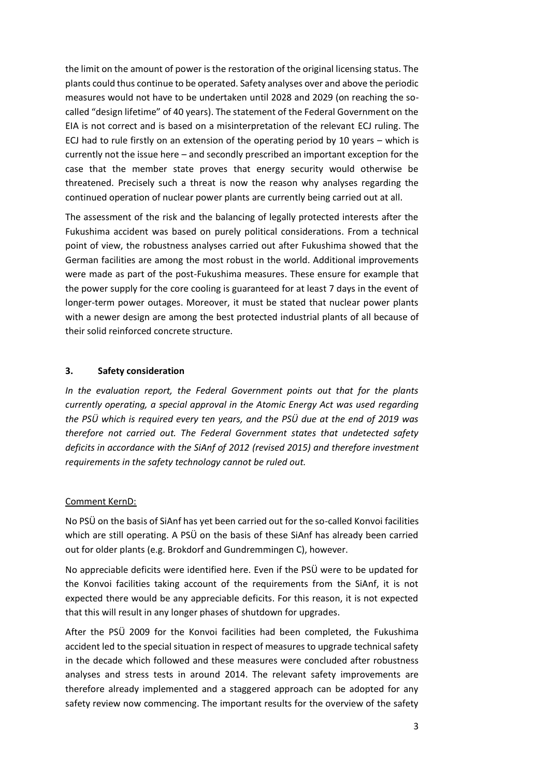the limit on the amount of power is the restoration of the original licensing status. The plants could thus continue to be operated. Safety analyses over and above the periodic measures would not have to be undertaken until 2028 and 2029 (on reaching the socalled "design lifetime" of 40 years). The statement of the Federal Government on the EIA is not correct and is based on a misinterpretation of the relevant ECJ ruling. The ECJ had to rule firstly on an extension of the operating period by 10 years – which is currently not the issue here – and secondly prescribed an important exception for the case that the member state proves that energy security would otherwise be threatened. Precisely such a threat is now the reason why analyses regarding the continued operation of nuclear power plants are currently being carried out at all.

The assessment of the risk and the balancing of legally protected interests after the Fukushima accident was based on purely political considerations. From a technical point of view, the robustness analyses carried out after Fukushima showed that the German facilities are among the most robust in the world. Additional improvements were made as part of the post-Fukushima measures. These ensure for example that the power supply for the core cooling is guaranteed for at least 7 days in the event of longer-term power outages. Moreover, it must be stated that nuclear power plants with a newer design are among the best protected industrial plants of all because of their solid reinforced concrete structure.

#### **3. Safety consideration**

*In the evaluation report, the Federal Government points out that for the plants currently operating, a special approval in the Atomic Energy Act was used regarding the PSÜ which is required every ten years, and the PSÜ due at the end of 2019 was therefore not carried out. The Federal Government states that undetected safety deficits in accordance with the SiAnf of 2012 (revised 2015) and therefore investment requirements in the safety technology cannot be ruled out.*

#### Comment KernD:

No PSÜ on the basis of SiAnf has yet been carried out for the so-called Konvoi facilities which are still operating. A PSÜ on the basis of these SiAnf has already been carried out for older plants (e.g. Brokdorf and Gundremmingen C), however.

No appreciable deficits were identified here. Even if the PSÜ were to be updated for the Konvoi facilities taking account of the requirements from the SiAnf, it is not expected there would be any appreciable deficits. For this reason, it is not expected that this will result in any longer phases of shutdown for upgrades.

After the PSÜ 2009 for the Konvoi facilities had been completed, the Fukushima accident led to the special situation in respect of measures to upgrade technical safety in the decade which followed and these measures were concluded after robustness analyses and stress tests in around 2014. The relevant safety improvements are therefore already implemented and a staggered approach can be adopted for any safety review now commencing. The important results for the overview of the safety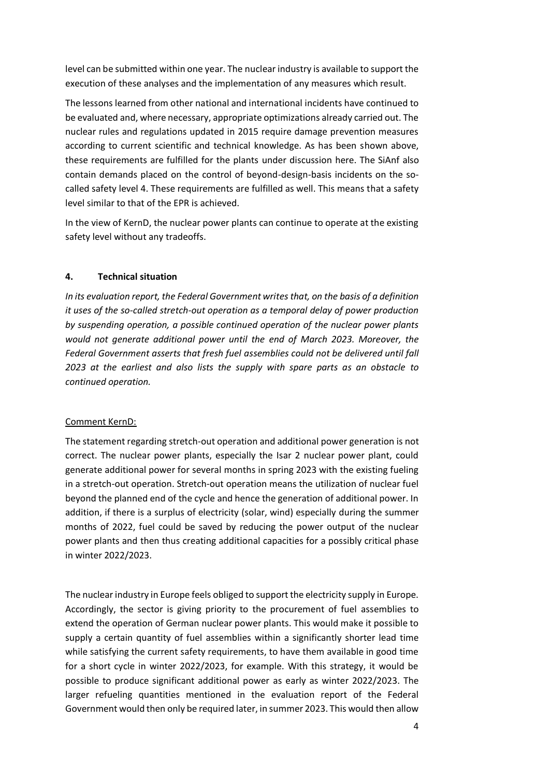level can be submitted within one year. The nuclear industry is available to support the execution of these analyses and the implementation of any measures which result.

The lessons learned from other national and international incidents have continued to be evaluated and, where necessary, appropriate optimizations already carried out. The nuclear rules and regulations updated in 2015 require damage prevention measures according to current scientific and technical knowledge. As has been shown above, these requirements are fulfilled for the plants under discussion here. The SiAnf also contain demands placed on the control of beyond-design-basis incidents on the socalled safety level 4. These requirements are fulfilled as well. This means that a safety level similar to that of the EPR is achieved.

In the view of KernD, the nuclear power plants can continue to operate at the existing safety level without any tradeoffs.

### **4. Technical situation**

*In its evaluation report, the Federal Government writes that, on the basis of a definition it uses of the so-called stretch-out operation as a temporal delay of power production by suspending operation, a possible continued operation of the nuclear power plants would not generate additional power until the end of March 2023. Moreover, the Federal Government asserts that fresh fuel assemblies could not be delivered until fall 2023 at the earliest and also lists the supply with spare parts as an obstacle to continued operation.*

#### Comment KernD:

The statement regarding stretch-out operation and additional power generation is not correct. The nuclear power plants, especially the Isar 2 nuclear power plant, could generate additional power for several months in spring 2023 with the existing fueling in a stretch-out operation. Stretch-out operation means the utilization of nuclear fuel beyond the planned end of the cycle and hence the generation of additional power. In addition, if there is a surplus of electricity (solar, wind) especially during the summer months of 2022, fuel could be saved by reducing the power output of the nuclear power plants and then thus creating additional capacities for a possibly critical phase in winter 2022/2023.

The nuclear industry in Europe feels obliged to support the electricity supply in Europe. Accordingly, the sector is giving priority to the procurement of fuel assemblies to extend the operation of German nuclear power plants. This would make it possible to supply a certain quantity of fuel assemblies within a significantly shorter lead time while satisfying the current safety requirements, to have them available in good time for a short cycle in winter 2022/2023, for example. With this strategy, it would be possible to produce significant additional power as early as winter 2022/2023. The larger refueling quantities mentioned in the evaluation report of the Federal Government would then only be required later, in summer 2023. This would then allow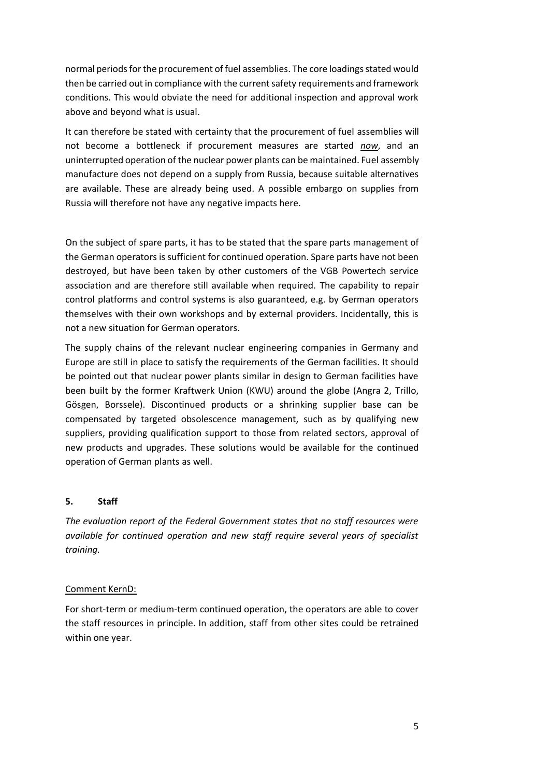normal periods for the procurement of fuel assemblies. The core loadings stated would then be carried out in compliance with the current safety requirements and framework conditions. This would obviate the need for additional inspection and approval work above and beyond what is usual.

It can therefore be stated with certainty that the procurement of fuel assemblies will not become a bottleneck if procurement measures are started *now*, and an uninterrupted operation of the nuclear power plants can be maintained. Fuel assembly manufacture does not depend on a supply from Russia, because suitable alternatives are available. These are already being used. A possible embargo on supplies from Russia will therefore not have any negative impacts here.

On the subject of spare parts, it has to be stated that the spare parts management of the German operators is sufficient for continued operation. Spare parts have not been destroyed, but have been taken by other customers of the VGB Powertech service association and are therefore still available when required. The capability to repair control platforms and control systems is also guaranteed, e.g. by German operators themselves with their own workshops and by external providers. Incidentally, this is not a new situation for German operators.

The supply chains of the relevant nuclear engineering companies in Germany and Europe are still in place to satisfy the requirements of the German facilities. It should be pointed out that nuclear power plants similar in design to German facilities have been built by the former Kraftwerk Union (KWU) around the globe (Angra 2, Trillo, Gösgen, Borssele). Discontinued products or a shrinking supplier base can be compensated by targeted obsolescence management, such as by qualifying new suppliers, providing qualification support to those from related sectors, approval of new products and upgrades. These solutions would be available for the continued operation of German plants as well.

#### **5. Staff**

*The evaluation report of the Federal Government states that no staff resources were available for continued operation and new staff require several years of specialist training.*

#### Comment KernD:

For short-term or medium-term continued operation, the operators are able to cover the staff resources in principle. In addition, staff from other sites could be retrained within one year.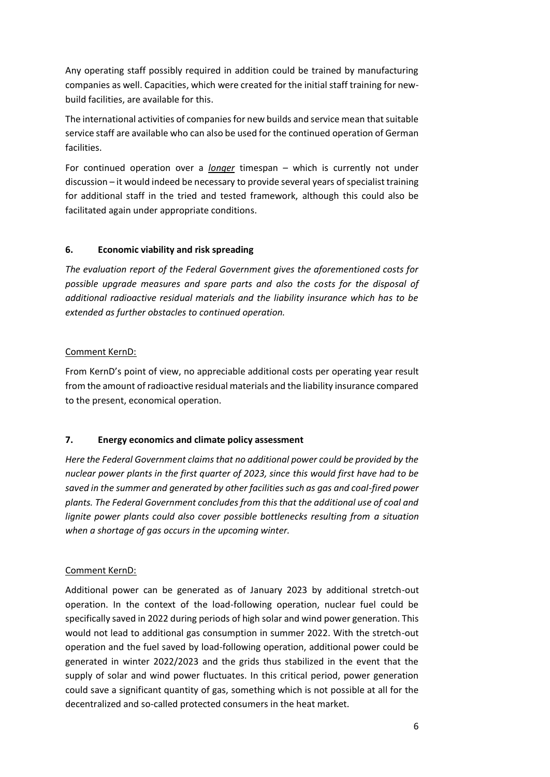Any operating staff possibly required in addition could be trained by manufacturing companies as well. Capacities, which were created for the initial staff training for newbuild facilities, are available for this.

The international activities of companies for new builds and service mean that suitable service staff are available who can also be used for the continued operation of German facilities.

For continued operation over a *longer* timespan – which is currently not under discussion – it would indeed be necessary to provide several years of specialist training for additional staff in the tried and tested framework, although this could also be facilitated again under appropriate conditions.

## **6. Economic viability and risk spreading**

*The evaluation report of the Federal Government gives the aforementioned costs for possible upgrade measures and spare parts and also the costs for the disposal of additional radioactive residual materials and the liability insurance which has to be extended as further obstacles to continued operation.*

## Comment KernD:

From KernD's point of view, no appreciable additional costs per operating year result from the amount of radioactive residual materials and the liability insurance compared to the present, economical operation.

## **7. Energy economics and climate policy assessment**

*Here the Federal Government claims that no additional power could be provided by the nuclear power plants in the first quarter of 2023, since this would first have had to be saved in the summer and generated by other facilities such as gas and coal-fired power plants. The Federal Government concludes from this that the additional use of coal and lignite power plants could also cover possible bottlenecks resulting from a situation when a shortage of gas occurs in the upcoming winter.*

## Comment KernD:

Additional power can be generated as of January 2023 by additional stretch-out operation. In the context of the load-following operation, nuclear fuel could be specifically saved in 2022 during periods of high solar and wind power generation. This would not lead to additional gas consumption in summer 2022. With the stretch-out operation and the fuel saved by load-following operation, additional power could be generated in winter 2022/2023 and the grids thus stabilized in the event that the supply of solar and wind power fluctuates. In this critical period, power generation could save a significant quantity of gas, something which is not possible at all for the decentralized and so-called protected consumers in the heat market.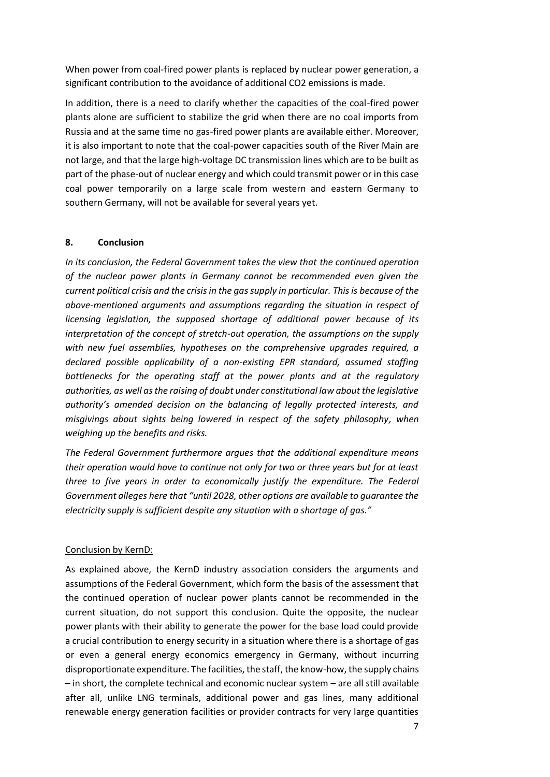When power from coal-fired power plants is replaced by nuclear power generation, a significant contribution to the avoidance of additional CO2 emissions is made.

In addition, there is a need to clarify whether the capacities of the coal-fired power plants alone are sufficient to stabilize the grid when there are no coal imports from Russia and at the same time no gas-fired power plants are available either. Moreover, it is also important to note that the coal-power capacities south of the River Main are not large, and that the large high-voltage DC transmission lines which are to be built as part of the phase-out of nuclear energy and which could transmit power or in this case coal power temporarily on a large scale from western and eastern Germany to southern Germany, will not be available for several years yet.

#### **8. Conclusion**

*In its conclusion, the Federal Government takes the view that the continued operation of the nuclear power plants in Germany cannot be recommended even given the current political crisis and the crisis in the gas supply in particular. This is because of the above-mentioned arguments and assumptions regarding the situation in respect of licensing legislation, the supposed shortage of additional power because of its interpretation of the concept of stretch-out operation, the assumptions on the supply with new fuel assemblies, hypotheses on the comprehensive upgrades required, a declared possible applicability of a non-existing EPR standard, assumed staffing bottlenecks for the operating staff at the power plants and at the regulatory authorities, as well as the raising of doubt under constitutional law about the legislative authority's amended decision on the balancing of legally protected interests, and misgivings about sights being lowered in respect of the safety philosophy, when weighing up the benefits and risks.*

*The Federal Government furthermore argues that the additional expenditure means their operation would have to continue not only for two or three years but for at least three to five years in order to economically justify the expenditure. The Federal Government alleges here that "until 2028, other options are available to guarantee the electricity supply is sufficient despite any situation with a shortage of gas."*

#### Conclusion by KernD:

As explained above, the KernD industry association considers the arguments and assumptions of the Federal Government, which form the basis of the assessment that the continued operation of nuclear power plants cannot be recommended in the current situation, do not support this conclusion. Quite the opposite, the nuclear power plants with their ability to generate the power for the base load could provide a crucial contribution to energy security in a situation where there is a shortage of gas or even a general energy economics emergency in Germany, without incurring disproportionate expenditure. The facilities, the staff, the know-how, the supply chains – in short, the complete technical and economic nuclear system – are all still available after all, unlike LNG terminals, additional power and gas lines, many additional renewable energy generation facilities or provider contracts for very large quantities